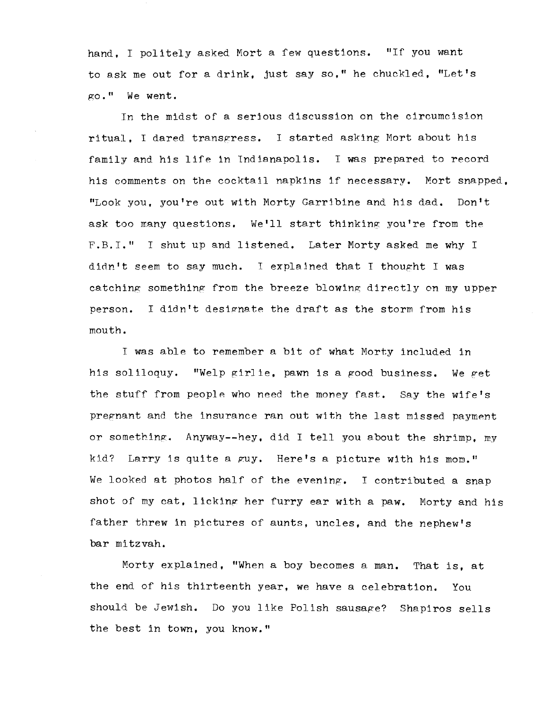hand. I politely asked Mort a few questions. "If you want to ask me out for a drink, just say so," he chuckled, "Let's go. II We went.

In the midst of a serious discussion on the circumcision ritual. I dared transgress. I started asking Mort about his family and his life in Indianapolis. I was prepared to record his comments on the cocktail napkins lf necessary. Mort snapped, "Look you, you're out with Morty Garribine and hls dad. Don't ask too many questions. We'll start thinking you're from the F.B.I." I shut up and listened. Later Morty asked me why I didn't seem to say much. I explained that I thought I was catching something from the breeze blowing directly on my upper person. I didn't designate the draft as the storm from his mouth.

I was able to remember a bit of what Morty included in his soliloquy. "Welp girlie, pawn is a good business. We get the stuff from people who need the money fast. Say the wife's pregnant and the insurance ran out with the last missed payment or something. Anyway--hey, did I tell you about the shrimp, my kid? Larry is quite a guy. Here's a picture with his mom." We looked at photos half of the evening. I contributed a snap shot of my cat, licking her furry ear with a paw. Morty and his father threw in pictures of aunts, uncles, and the nephew's bar mitzvah.

Morty explained, "When a boy becomes a man. That is, at the end of his thirteenth year, we have a celebration. You should be Jewish. Do you like Polish sausage? Shapiros sells the best in town, you know."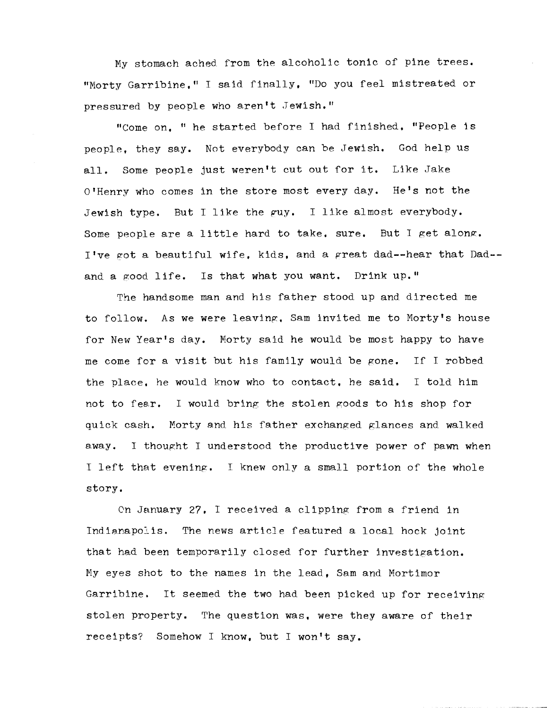My stomach ached from the alcoholic tonic of pine trees. "Morty Garribine." I said finally, "Do you feel mistreated or pressured by people who aren't Jewish."

"Come on. " he started before I had finished. "People is people. they say. Not everybody can be Jewish. God help us all. Some people just weren't cut out for it. Like Jake Q'Henry who comes in the store most every day. He's not the Jewish type. But I like the guy. I like almost everybody. Some people are a little hard to take. sure. But I get along. I've got a beautiful wife, kids, and a great dad--hear that  $Dad$ and a good life. Is that what you want. Drink up."

The handsome man and his father stood up and directed me to follow. As we were leaving, Sam invited me to Morty's house for New Year's day. Morty said he would be most happy to have me come for a visit but his family would be gone. If I robbed the place. he would know who to contact. he said. I told him not to fear. I would bring the stolen goods to his shop for quick cash. Morty and his father exchanged glances and walked away. I thought I understood the productive power of pawn when I left that evening. I knew only a small portion of the whole story.

On January 27. I received a clipping from a friend in Indianapolis. The news article featured a local hock joint that had been temporarily closed for further investigation. Ny eyes shot to the names in the lead, Sam and Mortimor Garribine. It seemed the two had been picked up for receiving stolen property. The question was, were they aware of their receipts? Somehow I know, but I won't say.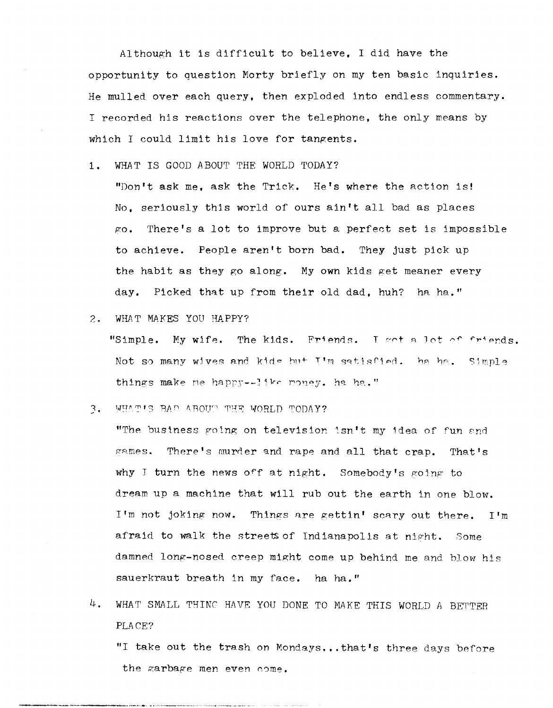Although it is difficult to believe. I did have the opportunity to question Morty briefly on my ten basic inquiries. He mulled over each query, then exploded into endless commentary. I recorded his reactions over the telephone, the only means by which I could limit his love for tangents.

1. WHAT IS GOOD ABOUT THE WORLD TODAY?

"Don't ask me, ask the Trick. He's where the action is! No, seriously thjs world of ours ain't all bad as places  $\kappa$ o. There's a lot to improve but a perfect set is impossible to achieve. People aren't born bad. They just pick up the habit as they go along. My own kids get meaner every day. Picked that up from their old dad, huh? ha ha."

2. WHAT MAKES YOU HAPPY?

"Simple. My wife. The kids. Friends. I got a lot of friends. Not so many wives and kide but  $I^*m$  satisfied. ha ha. Simple things make me happy--like money. ha ha."

3. WHAT'S BAD ABOUT THE WORLD TODAY?

"The business going on television isn't my idea of fun and games. There's murder and rape and all that crap. That's why I turn the news off at night. Somebody's going to dream up a machine that will rub out the earth in one blow. I'm not joking now. Things nre gettin' scary out there. I'm afraid to walk the streets of Indianapolis at night. Some damned long-nosed creep might come up behind me and blow his sauerkraut breath in my face. ha ha."

 $4.$  WHAT SMALL THING HAVE YOU DONE TO MAKE THIS WORLD A BETTER PLACE?

"I take out the trash on Mondays...that's three days before the garbage men even come.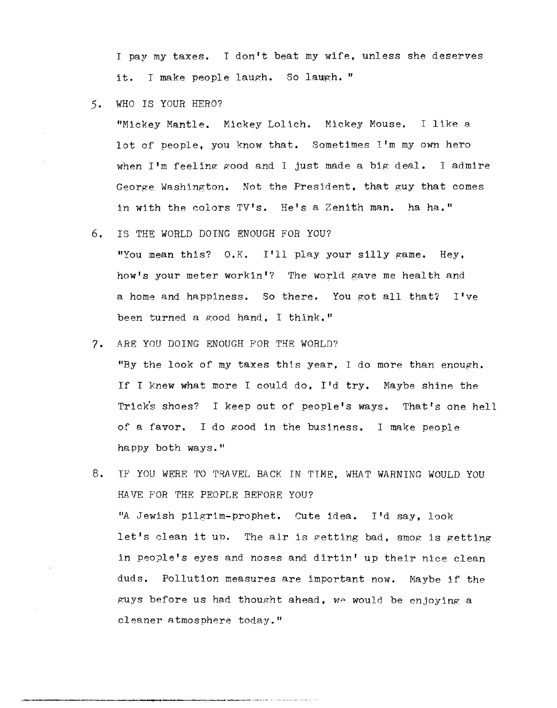I pay my taxes. I don't beat my wife. unless she deserves it. I make people laugh. So laugh. "

5. WHO IS YOUR HERO?

"Mickey Mantle. Mickey Loltch. Mickey Mouse. I like a lot of people, you know that. Sometimes I'm my own hero when  $I'm$  feeling good and I just made a big deal. I admire George Washington. Not the President. that guy that comes in with the colors TV's. He's a Zenith man. ha ha."

- 6. IS THE WORLD DOING ENOUGH FOR YOU? "You mean this? O.K. I'll play your silly game. Hey, how's your meter workin'? The world gave me health and a home and happiness. So there. You got all that? I've been turned a good hand, I think."
- *7.* ARE YOU DOING ENOUGH FOR THE WORLD?

"By the look of my taxes this year. I do more than enough. If I knew what more I could do. I'd try. Maybe shine the Trick's shoes? I keep out of people's ways. That's one hell of a favor. I do good in the business. 1 make people happy both ways."

8. IF YOU WERE TO TRAVEL BACK IN TIME, WHAT WARNING WOULD YOU HAVE FOR THE PEOPLE BEFORE YOU? "A Jewish pilgrim-prophet. Cute idea. I'd say, look let's elean it UD. The air is getting bad, smog is getting in people's eyes and noses and dirtin' up their nice clean duds. Pollution measures are important now. Maybe if the guys before us had thought ahead. We would be enjoying a cleaner atmosphere today."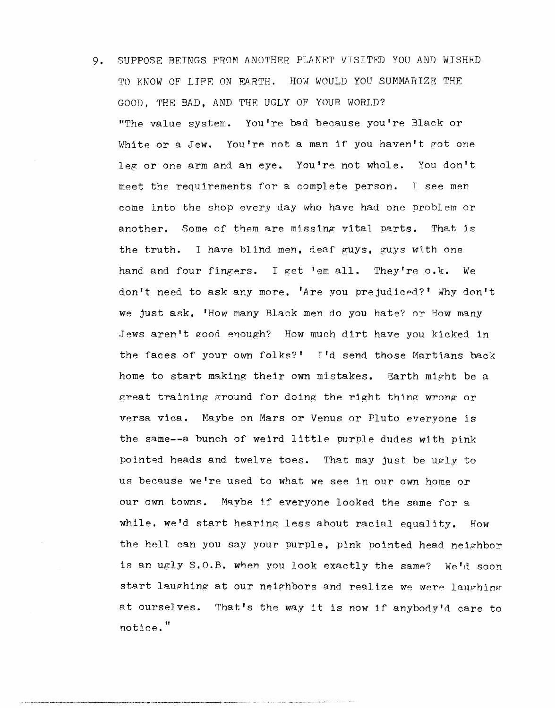9. SUPPOSE BEINGS FROM ANOTHER PLANET VISITED YOU AND WISHED TO KNOW OF LIFE ON EARTH. HOW WOULD YOU SUMMARIZE THE GOOD, THE BAD, AND THE UGLY OF YOUR WORLD? "The value system. You're bad because you're Black or White or a Jew. You're not a man if you haven't got one leg or one arm and an eye. You're not whole. You don't meet the requirements for a complete person. I see men come into the shop every day who have had one problem or another. Some of them are missing vital parts. That is the truth. I have blind men, deaf guys, guys with one hand and four fingers. I get 'em all. They're o.k. We don't need to ask any more, 'Are you prejudiced?' Why don't we just ask. 'How many Black men do you hate? or How many Jews aren't good enough? How much dirt have you kicked in the faces of your own folks?' I'd send those Martians back home to start making their own mistakes. Earth might be a great training ground for doing the right thing wrong or versa vica. Maybe on Mars or Venus or Pluto everyone is the same--a bunch of weird little purple dudes with pink pointed heads and twelve toes. That may just be ugly to us beeause we're used to what we see in our own home or our own towns. Maybe if everyone looked the same for a while, we'd start hearing less about racial equality. How the hell can you say your purple. pink pointed head neighbor is an ugly S.O.B. when you look exactly the same? We'd soon start laughing at our neighbors and realize we were laughing at ourselves. That's the way it is now if anybody'd care to notice."

\_\_\_\_ , \_,~\_"".\_""",,\_,,< \_\_ ,~ \_.-..-..... >.-.~~r' ~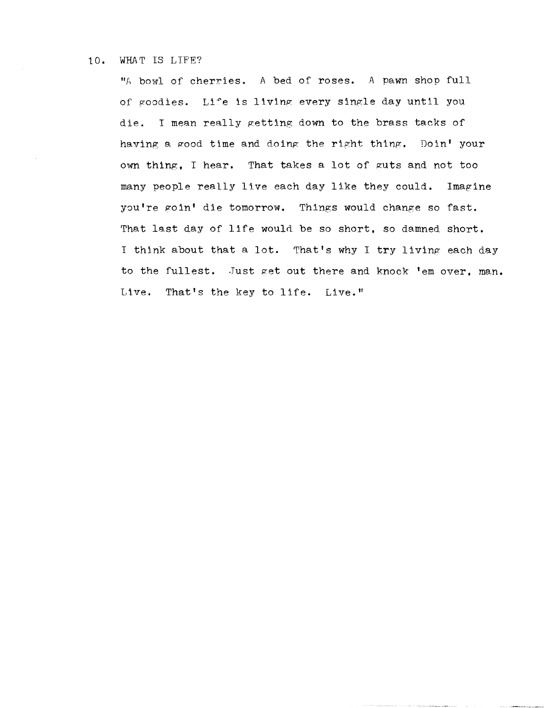## 10. WHAT IS LIFE?

"A bowl of cherries. A bed of roses. A pawn shop full of goodies. Life is living every single day until you die. I mean really getting down to the brass tacks of having a good time and doing the right thing. Doin' your own thing, I hear. That takes a lot of guts and not too many people really live each day like they could. Imagine you're goin' die tomorrow. Things would change so fast. That last day of life would be so short, so damned short. I think about that a lot. That's why I try living each day to the fullest. Just get out there and knock 'em over, man. Live. That's the key to life. Live."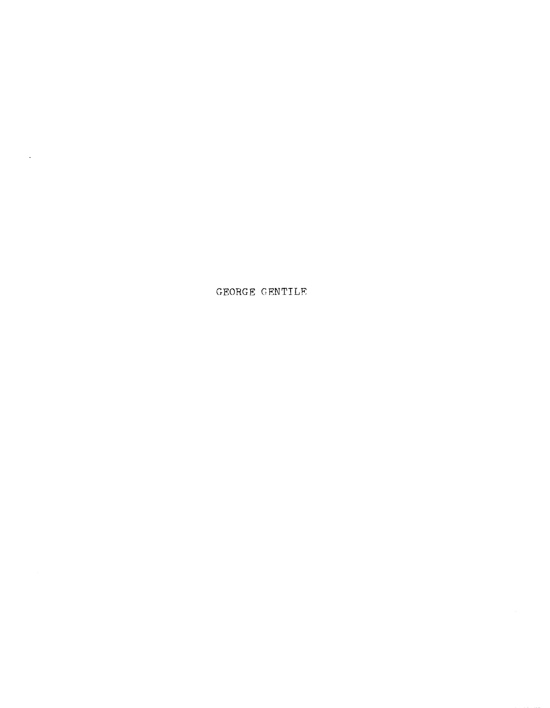GEORGE GENTILE

 $\sim$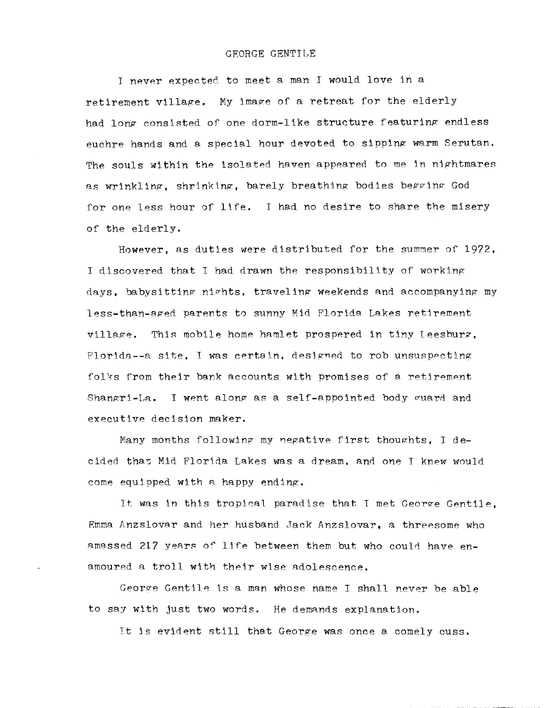I never expected to meet a man I would love in a retirement village. My image of a retreat for the elderly had long consisted of one dorm-like structure featuring endless euchre hands and a special hour devoted to sipping warm Serutan. The souls within the isolated haven appeared to me in nightmares as wrinkling, shrinking, barely breathing bodies begging God for one less hour of life. I had no desire to share the misery of the elderly.

However, as duties were distributed for the summer of 1972, I discovered that I had drawn the responsibility of working days, babysitting nights, traveling weekends and accompanying my less-than-aged parents to sunny Mid Florida Lakes retirement village. This mobile home hamlet prospered in tiny Leesburg, Florida--a site. I was certain, designed to rob unsuspecting folks from their bank accounts with promises of a retirement Shangri-La. I went along as a self-appointed body guard and executive decision maker.

Many months following my negative first thoughts, I decided that Mid Florida Lakes was a dream. and one I knew would come equipped with a happy ending.

It was in this tropical paradise that I met George Gentile. Emma Anzslovar and her husband Jack Anzslovar, a threesome who amassed 217 years of life between them but who could have  $en$ amoured a troll with their wise adolescence.

George Gentile is a man whose name I shall never be able to say with just two words. He demands explanatjon.

It is evident still that George was once a comely cuss.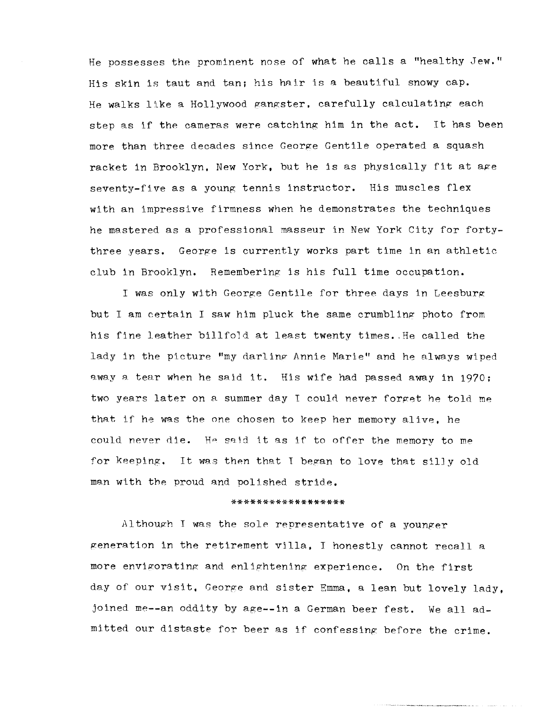He possesses the prominent nose of what he calls a "healthy Jew." His skin is taut and tan; his hair is a beautiful snowy cap. He walks like a Hollywood gangster. carefully calculating each step as if the cameras were catching him in the act. It has been more than three decades since George Gentile operated a squash racket in Brooklyn, New York, but he is as physically fit at age seventy-five as a young tennis instructor. His muscles flex with an impressive firmness when he demonstrates the techniques he mastered as a professional masseur in New York City for fortythree years. George is currently works part time in an athletic club in Brooklyn. Remembering is his full time occupation.

I was only with George Gentile for three days in Leesburg but I am certain I saw him pluck the same crumbling photo from his fine leather billfold at least twenty times •. He called the lady in the picture "my darling Annie Marie" and he always wiped away a tear when he said it. His wife had passed away in 1970; two years later on a summer day I could never forget he told me that if he was the one chosen to keep her memory alive, he could never die. He said it as if to offer the memory to me for keeping. It was then that I began to love that silly old man with the proud and polished stride.

## \*\*\*\*\*\*\*\*\*\*\*\*\*\*\*\*\*\*

Although I was the sole representative of a younger generation in the retirement villa, I honestly cannot recall a more envigorating and enlightening experience. On the first day of our visit, George and sister Emma, a lean but lovely lady. joined me--an oddity by age--in a German beer fest. We all admitted our distaste for beer as if confessing: before the crime.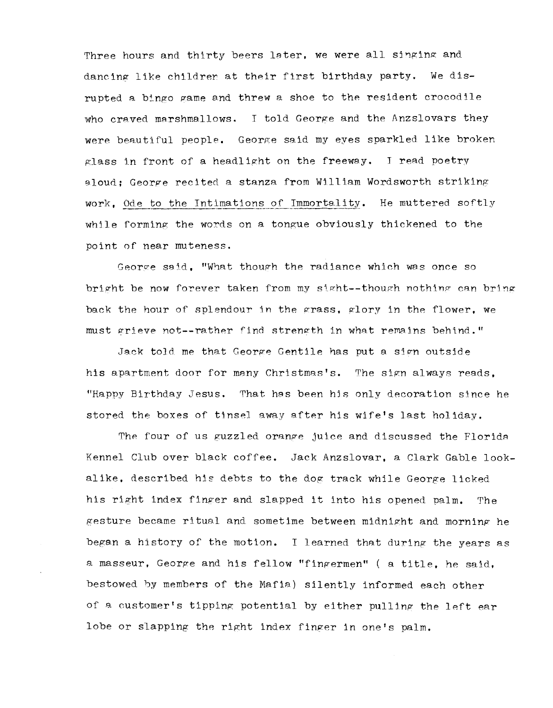Three hours and thirty beers later, we were all singing and dancing like children at their first birthday party. We disrupted a bingo game and threw a shoe to the resident crocodile who craved marshmallows. I told George and the Anzslovars they were beautiful people. George said my eyes sparkled like broken glass in front of a headlight on the freeway. I read poetry aloud: George recited a stanza from William Wordsworth striking work, Ode to the Intimations of Immortality. He muttered softly wh11e forming the words on a tongue obviously thickened to the point of near muteness.

George said, "What though the radiance which was once so bright be now forever taken from my sight--though nothing can bring back the hour of splendour in the grass. glory in the flower, we must grieve not--rather find strength in what remains behind."

Jack told me that George Gentile has put a sign outside his apartment door for many Christmas's. The sign always reads. "Happy Birthday Jesus. That hes been his only decoration since he stored the boxes of tinsel away after his wife's last holiday.

The four of us guzzled orange juice and discussed the Florida Kennel Club over black coffee. Jack Anzslovar, a Clark Gable lookalike, described his debts to the dog track while George licked his right index finger and slapped it into his opened palm. The gesture became ritual and sometime between midnight and morning he began a history of the motion. I learned that during the years as a masseur, George and his fellow "fingermen" ( a title, he said, bestowed by members of the Mafia) silently informed each other of a customer's tipping potential by either pulling the left ear lobe or slapping the right index finger in one's palm.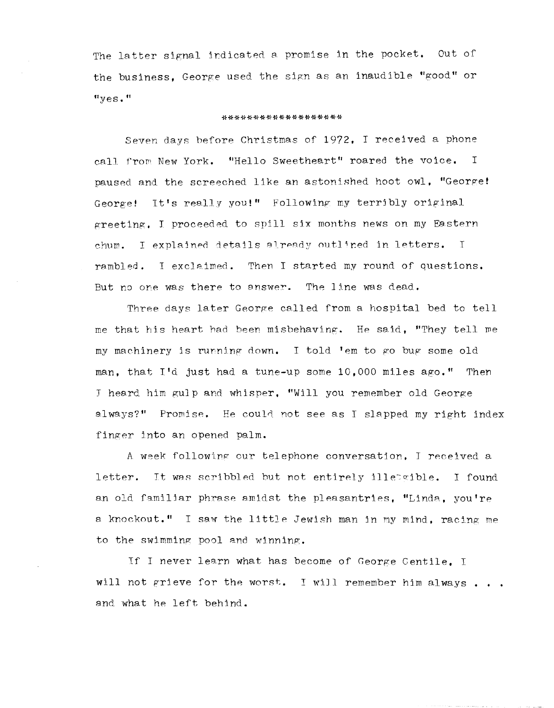The latter signal indicated a promise in the pocket. Out of the business, George used the sign as an inaudible "good" or  $"yes."$ 

## \*\*\*\*\*\*\*\*\*\*\*\*\*\*\*\*\*\*\*

Seven days before Christmas of 1972, I received a phone call from New York. "Hello Sweetheart" roared the voice. I paused and the screeched like an astonished hoot owl, "George! George! It's really you!" Following my terribly original greeting. I proceeded to spill six months news on my Eastern chum. I explained details already outlined in letters.  $\top$ rambled. I exclaimed. Then I started my round of questions. But no one was there to answer. The line was dead.

Three days later George called from a hospital bed to tell me that his heart had been misbehaving. He said, "They tell me my machinery is running down. I told 'em to go bug some old man, that I'd just had a tune-up some 10,000 miles ago." Then J heard him gulp and whisper, "Will you remember old George always?" Promise. He could not see as I slapped my right index finger into an opened palm.

A week following our telephone conversation, I received a letter. It was scribbled but not entirely illetaible. I found an old familiar phrase amidst the pleasantries, "Linda, you're a knockout." I saw the little Jewish man in my mind, racing me to the swimming pool and winning.

If I never learn what has become of George Gentile, I will not grieve for the worst. I will remember him always... and what he left behind.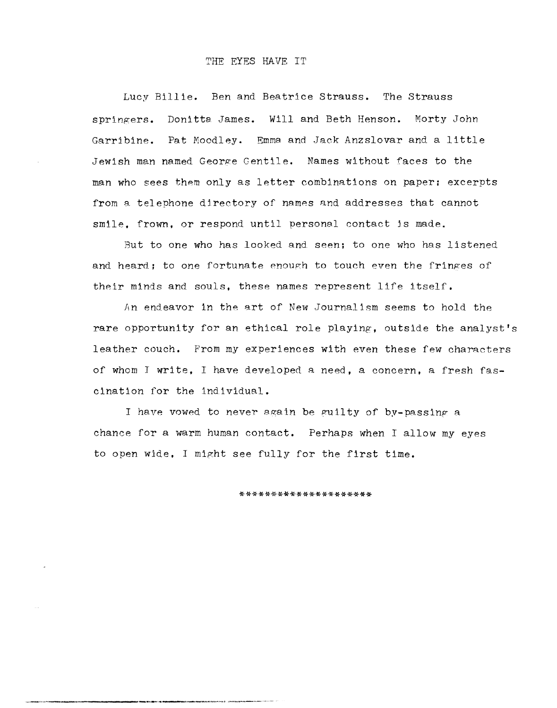## THE EYES HAVE IT

Lucy Billie. Ben and Beatrice Strauss. The Strauss Donitta James. Will and Beth Henson. Morty John springers. Garribine. Pat Moodley. Emma and Jack Anzslovar and a little Jewish man named George Gentile. Names without faces to the man who sees them only as letter combinations on paper; excerpts from a telephone directory of names and addresses that cannot smile, frown, or respond until personal contact is made.

But to one who has looked and seen; to one who has listened and heard; to one fortunate enough to touch even the fringes of their minds and souls, these names represent life itself.

An endeavor in the art of New Journalism seems to hold the rare opportunity for an ethical role playing, outside the analyst's leather couch. From my experiences with even these few characters of whom I write. I have developed a need, a concern, a fresh fascination for the individual.

I have vowed to never again be guilty of by-passing a chance for a warm human contact. Perhaps when I allow my eyes to open wide. I might see fully for the first time.

\*\*\*\*\*\*\*\*\*\*\*\*\*\*\*\*\*\*\*\*\*